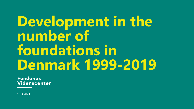# **Development in the number of foundations in Denmark 1999-2019**

**Fondenes** Videnscenter

19.3.2021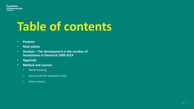

# **Table of contents**

- **Purpose**
- **Main points**
- **Analysis – The development in the number of foundations in Denmark 1999-2019**
- **Appendix**
- **Method and sources**
	- Worth knowing
	- Sources and the population used
	- Other sources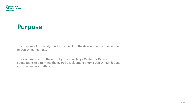## **Purpose**

The purpose of this analysis is to shed light on the development in the number of Danish foundations.

The analysis is part of the effort by The Knowledge Center for Danish Foundations to determine the overall development among Danish foundations and their general welfare.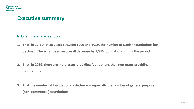### **Executive summary**

### **In brief, the analysis shows:**

- **1. That, in 17 out of 20 years between 1999 and 2019, the number of Danish foundations has declined. There has been an overall decrease by 1,546 foundations during the period.**
- **2. That, in 2019, there are more grant-providing foundations than non-grant-providing foundations.**
- **3. That the number of foundations is declining – especially the number of general purpose (non-commercial) foundations.**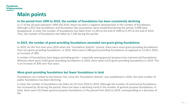### **Main points**

#### **In the period from 1999 to 2019, the number of foundations has been consistently declining**

In 17 of the 20 years between 1999 and 2019, there has been a negative development in the number of foundations. Although 2,452 new foundations and foundation-like associations were established during the period, 3,998 have disappeared. In total, the number of foundations has fallen from 11,343 at the end of 1999 to 9,797 at the end of 2019. Thus, the number of foundations has fallen by 1,546 during the period.

#### **In 2019, the number of grant-providing foundations exceeded non-grant-giving foundations**

In 2019, for the first time since 2016 when the 'Foundation Statistic' started, there were more grant-providing foundations than non-grant-providing foundations. In 2019, there were 5,280 grant-providing foundations as opposed to 4,118 in 2016 an increase of 28%.

A number of foundations have begun providing grants – especially among general purpose (non-commercial) foundations. Whereas there were 3,602 grant-providing foundations in 2016, there were 4,676 grant-providing foundations in 2019. This is an increase of 30% over four years.

### **More grant-providing foundations but fewer foundations in total**

Foundations are created to last forever; but, since the 'Foundation Statistic' was established in 2016, the total number of public foundations has been declining.

In total, the number of foundations has fallen by 5% from 2016 to 2019. Although the number of commercial foundations has increased by 26 during the period, there has been a declining trend in the number of general purpose foundations. In total, there were 533 fewer general purpose foundations in the period from 2016 to 2019, corresponding to a decrease of 6%.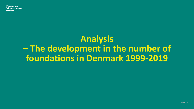## **Analysis – The development in the number of foundations in Denmark 1999-2019**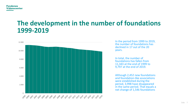## **The development in the number of foundations 1999-2019**



In the period from 1999 to 2019, the number of foundations has declined in 17 out of the 20 years.

In total, the number of foundations has fallen from 11,343 at the end of 1999 to 9,797 at the end of 2019.

Although 2,452 new foundations and foundation-like associations were established during the period, 3,998 have disappeared in the same period. That equals a net change of 1,546 foundations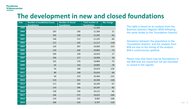## **The development in new and closed foundations**

| Year | <b>Number of established (new)</b> | <b>Number of closed</b> | <b>Total number of</b> | <b>Net change</b> |
|------|------------------------------------|-------------------------|------------------------|-------------------|
|      | <b>foundations</b>                 | <b>foundations</b>      | <b>foundations</b>     |                   |
| 1999 |                                    |                         | 11,343                 |                   |
| 2000 | 187                                | 166                     | 11,364                 | 21                |
| 2001 | 165                                | 228                     | 11,301                 | $-63$             |
| 2002 | 146                                | 212                     | 11,235                 | $-66$             |
| 2003 | 117                                | 235                     | 11,117                 | $-118$            |
| 2004 | 134                                | 287                     | 10,964                 | $-153$            |
| 2005 | 110                                | 182                     | 10,892                 | $-72$             |
| 2006 | 185                                | 158                     | 10,919                 | 27                |
| 2007 | 156                                | 117                     | 10,958                 | 39                |
| 2008 | 101                                | 176                     | 10,883                 | $-75$             |
| 2009 | 65                                 | 143                     | 10,805                 | $-78$             |
| 2010 | 54                                 | 180                     | 10,679                 | $-126$            |
| 2011 | 80                                 | 140                     | 10,619                 | $-60$             |
| 2012 | 64                                 | 219                     | 10,464                 | $-155$            |
| 2013 | 133                                | 261                     | 10,336                 | $-128$            |
| 2014 | 117                                | 184                     | 10,269                 | $-67$             |
| 2015 | 114                                | 196                     | 10,187                 | $-82$             |
| 2016 | 128                                | 194                     | 10,121                 | $-66$             |
| 2017 | 166                                | 272                     | 10,015                 | $-106$            |
| 2018 | 124                                | 232                     | 9,907                  | $-108$            |
| 2019 | 106                                | 216                     | 9,797                  | $-110$            |

The table is based on an analysis from the Business Statistics Register (BSR) following the same model as the 'Foundation Statistic'.

Deviations between the population in the 'Foundation Statistic' and the analysis from BSR are due to the timing of the analysis. BSR is continuously updated.

Please note that there may be foundations in the BSR that are closed but not yet classified as closed in the register.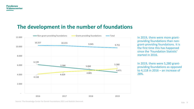## **The development in the number of foundations**



In 2019, there were more grantproviding foundations than nongrant-providing foundations. It is the first time this has happened since the 'Foundation Statistic' started in 2016.

In 2019, there were 5,280 grantproviding foundations as opposed to 4,118 in 2016 – an increase of 28%.

Source: The Knowledge Center for Danish Foundations 2021 and Statistic Denmark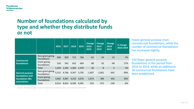#### **Fondenes Videnscenter**

## **Number of foundations calculated by type and whether they distribute funds or not**

|                                                    |                                 | 2016  | 2017        | 2018              | 2019  | <b>Change</b><br>2016-<br>2019 | <b>Change</b><br>$2017 -$<br>2019 | <b>Change</b><br>2018-<br>2019 | % change<br>2016-2019 |
|----------------------------------------------------|---------------------------------|-------|-------------|-------------------|-------|--------------------------------|-----------------------------------|--------------------------------|-----------------------|
|                                                    | Non-grant-giving<br>foundations | 828   | 820         | 713               | 766   | $-62$                          | $-54$                             | 53                             | $-7%$                 |
| <b>Commercial</b><br>foundations                   | Grant-giving<br>foundations     | 516   | 542         | 652               | 604   | 88                             | 62                                | $-48$                          | 17%                   |
|                                                    | Total                           | 1,344 |             | 1,362 1,365 1,370 |       | 26                             | 8                                 | 5                              | 2%                    |
| <b>General purpose</b>                             | Non-grant-giving<br>foundations | 5,312 | 4,766 4,347 |                   | 3,705 | $-1,607$                       | $-1,061$                          | $-642$                         | $-30%$                |
| foundations and<br>foundation-like<br>associations | Grant-giving<br>foundations     | 3,602 | 4,087       | 4,233             | 4,676 | 1,074                          | 589                               | 443                            | 30%                   |
|                                                    | Total                           | 8,914 | 8,853       | 8,580             | 8,381 | $-533$                         | $-472$                            | $-199$                         | $-6%$                 |

Fewer general purpose (noncommercial) foundations, while the number of commercial foundations has increased slightly.

533 fewer general purpose foundations in the period from 2016 to 2019, while an additional 26 commercial foundations have been established.

Source: The Knowledge Center for Danish Foundations 2021 and Statistics Denmark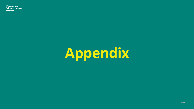**Fondenes** Videnscenter

# **Appendix**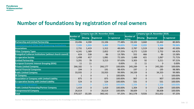## **Number of foundations by registration of real owners**

|                                                                   |                            |                  | Company type (30. November 2020) |              | <b>Company type (4. November 2019)</b> |                |                   |              |
|-------------------------------------------------------------------|----------------------------|------------------|----------------------------------|--------------|----------------------------------------|----------------|-------------------|--------------|
|                                                                   | <b>Number of</b><br>active | <b>Missing</b>   | <b>Registered</b>                | % registered | <b>Number of</b><br>active             | <b>Missing</b> | <b>Registered</b> | % registered |
| <b>Partnership and Limited Partnership</b>                        | 19,496                     | 4,390            | 15,106                           | 77.48%       | 19,102                                 | 3,660          | 15,442            | 80.84%       |
| <b>Foundations and Other Self-Governing Institutions</b>          | 7,335                      | 1,933            | 5,402                            | 73.65%       | 7,548                                  | 2,222          | 5,326             | 70.56%       |
| <b>Associations</b>                                               | 2,731                      | 1,419            | 1,312                            | 48.04%       | 2,787                                  | 1,519          | 1,268             | 45.50%       |
| <b>Other Company Types</b>                                        | 4,241                      | 1,389            | 2,852                            | 67.25%       | 4,272                                  | 1,520          | 2,752             | 64.42%       |
| <b>Evangelical Lutheran Institutions (without church council)</b> | 624                        | 538              | 86                               | 13.78%       | 552                                    | 466            | 86                | 15.58%       |
| <b>Co-operative Society</b>                                       | 1,498                      | 417              | 1,081                            | 72.16%       | 1,488                                  | 421            | 1,067             | 71.71%       |
| <b>Limited Partnership</b>                                        | 3,291                      | 78               | 3,213                            | 97.63%       | 3,303                                  | 92             | 3,211             | 97.21%       |
| <b>European Economic Interest Grouping (EEIG)</b>                 | 11                         | 11               |                                  | 0.00%        | 11                                     | 11             | 0                 | 0.00%        |
| <b>Private Limited Company</b>                                    | 266,182                    | 5                | 266,177                          | 100.00%      | 245,289                                | 6              | 245,283           | 100.00%      |
| <b>Special Financial Companies</b>                                | 194                        | 3                | 191                              | 98.45%       | 197                                    | $\overline{2}$ | 195               | 98.98%       |
| <b>Public Limited Company</b>                                     | 33,935                     | $\overline{2}$   | 33,933                           | 99.99%       | 34,339                                 | 6              | 34,333            | 99.98%       |
| <b>SE Company</b>                                                 |                            | $\boldsymbol{0}$ |                                  | 100.00%      |                                        | 0              |                   | 100.00%      |
| <b>Association or Company with Limited Liability</b>              | 875                        | 0                | 875                              | 100.00%      | 907                                    | 0              | 907               | 100.00%      |
| <b>Co-operative Society with Limited Liability</b>                | 524                        | $\mathbf 0$      | 524                              | 100.00%      | 531                                    | 0              | 531               | 100.00%      |
| <b>Commercial Foundation</b>                                      | 1,356                      | $\bf{0}$         | 1,356                            | 100.00%      | 1,338                                  |                | 1,338             | 100.00%      |
| <b>Public Limited Partnership/Partner Company</b>                 | 1,419                      | $\pmb{0}$        | 1,419                            | 100.00%      | 1,304                                  | $\mathbf 0$    | 1,304             | 100.00%      |
| <b>Entrepreneurial Company</b>                                    | 26,614                     | 0                | 26,614                           | 100.00%      | 38,609                                 |                | 38,608            | 100.00%      |
| <b>Total</b>                                                      | 370,327                    | 10,185           | 360,142                          | 97.25%       | 361,578                                | 9,926          | 351,652           | 97.25%       |

Source: The Danish Business Authority, processed by the Knowledge Center for Danish Foundations 2021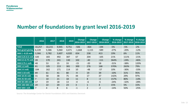## **Number of foundations by grant level 2016-2019**

|                        | 2016   | 2017   | 2018  | 2019  | <b>Change</b><br>2016-2019 | <b>Change</b><br>2017-2019 | <b>Change</b><br>2018-2019 | % change<br>2016-2019 | % change<br>2017-2019 | % change<br>  2018-2019 |
|------------------------|--------|--------|-------|-------|----------------------------|----------------------------|----------------------------|-----------------------|-----------------------|-------------------------|
| <b>Total</b>           | 10,257 | 10,215 | 9,945 | 9,751 | $-506$                     | $-464$                     | $-194$                     | $-5%$                 | $-5%$                 | $-2%$                   |
| Non-grant-giving       | 6,139  | 5,586  | 5,060 | 4,471 | $-1,668$                   | $-1,115$                   | $-589$                     | $-27%$                | $-20%$                | $-12%$                  |
| DKK 1-0.25 mill.       | 3,366  | 3,782  | 3,607 | 4,020 | 654                        | 238                        | 413                        | 19%                   | 6%                    | 11%                     |
| DKK 0.25-0.5 mill.     | 320    | 183    | 492   | 387   | 67                         | 204                        | $-105$                     | 21%                   | 111%                  | $-21%$                  |
| DKK 0.5-0.75 mill.     | 28     | 170    | 241   | 130   | 102                        | $-40$                      | $-111$                     | 364%                  | $-24%$                | $-46%$                  |
| DKK 0.75-1 mill.       | 48     | 53     | 15    | 33    | $-15$                      | $-20$                      | 18                         | $-31%$                | $-38%$                | 120%                    |
| DKK 1-2 mill.          | 81     | 105    | 213   | 381   | 300                        | 276                        | 168                        | 370%                  | 263%                  | 79%                     |
| DKK 2-5 mill.          | 104    | 162    | 171   | 114   | 10                         | $-48$                      | $-57$                      | 10%                   | $-30%$                | $-33%$                  |
| <b>DKK 5-10 mill.</b>  | 89     | 61     | 41    | 80    | $-9$                       | 19                         | 39                         | $-10%$                | 31%                   | 95%                     |
| <b>DKK 10-25 mill.</b> | 31     | 58     | 38    | 75    | 44                         | 17                         | 37                         | 142%                  | 29%                   | 97%                     |
| <b>DKK 25-50 mill.</b> | 7      | 10     | 21    | 18    | 11                         | 8                          | $-3$                       | 157%                  | 80%                   | $-14%$                  |
| DKK 50-100 mill.       | 17     | 19     | 18    | 13    | $-4$                       | $-6$                       | $-5$                       | $-24%$                | $-32%$                | $-28%$                  |
| DKK 100-500 mill.      | 20     | 22     | 20    | 23    | 3                          | $\mathbf{1}$               | 3                          | 15%                   | 5%                    | 15%                     |
| <b>DKK 500+ mill.</b>  | 7      | 4      | 8     | 6     | $-1$                       | $\overline{2}$             | $-2$                       | $-14%$                | 50%                   | $-25%$                  |

Source: The Knowledge Center for Danish Foundations 2021 and Statistics Denmark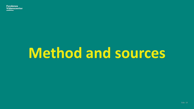# **Method and sources**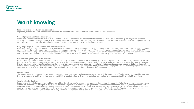## **Worth knowing**

#### **Foundations and foundation-like associations**

In general, we use the term "foundations" for both "foundations" and "foundation-like associations" for ease of analysis

#### **General purpose grants and other grants**

In Statistics Denmark's fund statistics, which form the basis for this analysis, it is not possible to identify whether a grant has been given for general-purpose activities or whether it has been given, e.g., for family purposes or non-profit business purposes. However, on the basis of the current data, it is not possible to say exactly how much money is involved. In this analysis, therefore, we focus on the total distributed grants.

#### **Very large, large, medium, smaller, and small foundations**

We categorize the individual foundations as "very large foundations", "large foundations", "medium foundations", "smaller foundations", and "small foundations" on the basis of the total amount that the individual foundation has granted in the given year. "Very large" refers to foundations that have allocated DKK 500 million and above; "large" are foundations that have granted between DKK 50 and 500 mill.; "medium" are foundations that have granted between DKK 10 and 50 mill.; "smaller" are foundations that have granted between DKK 1 and 10 mill., while "small" foundations have granted less than DKK 1 million.

#### **Distributions, grants, and disbursements**

When assessing afoundation's distributions, it is important to be aware of the difference between grants and disbursements. A grant is a commitment made by a foundation to contribute money to a purpose or activity. A disbursement is the amount that the foundation actually paid out on the basis of a grant. A grant and the related contribution often take place in different calendar years. An example might be a foundation that agrees to support a festival in 2018 but does not contribute the money until 2019 when the festival is completed. Another example might be when, for example, large grants for construction projects are paid out over several years. The word distribution is often used as a collective term for both grants and disbursements.

#### **Current prices**

The amounts in the analysis tables are stated in current prices. Therefore, the figures are comparable with the statement of fund statistics published by Statistics Denmark. A statement of the development in fixed 2018 prices (adjusted for the net price index) may be found as an appendix at the end of the analysis.

#### **Varying distribution level**

If, one year, a foundation grants several hundred million Danish crowns for a specific purpose and does not do the same the following year, it can be clearly seen in the fund statistics. For example, in 2018, there has been a significant increase in large grants for international humanitarian purposes, social purposes, and educational and public information purposes. The fluctuations in grant levels, for example, may be because a foundation has decided to give regular, major, and multi-year grants to an area every three to five years, that the foundation has changed its strategy, or that the funds that the foundation has available for distributions vary from one year to the next. It may also have an impact on distribution levels for projects the foundations consider.